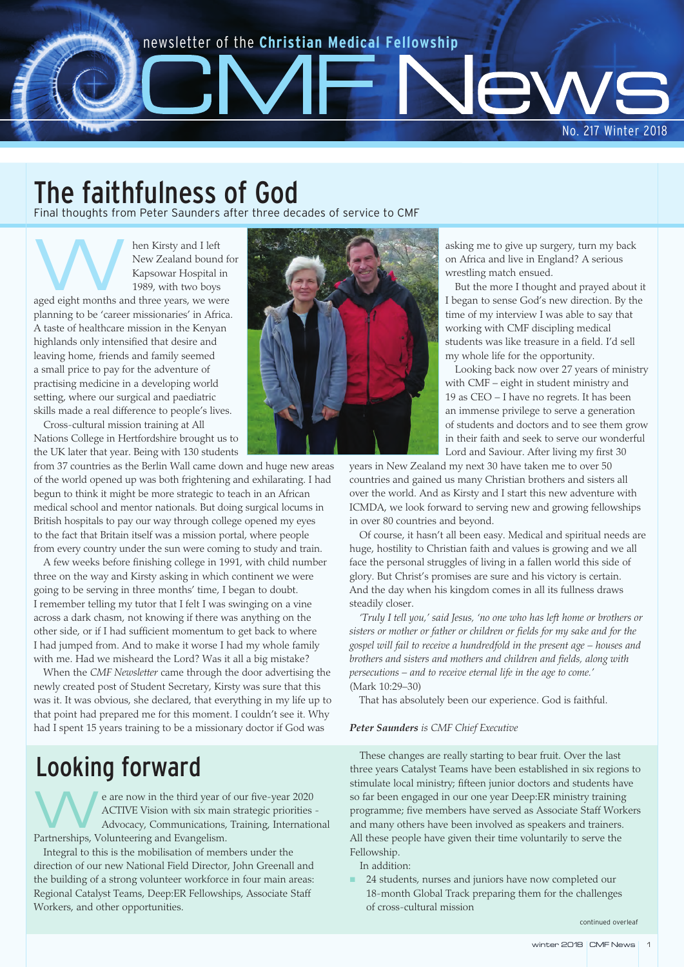# newsletter of the **Christian Medical Fellowship**

The faithfulness of God

Final thoughts from Peter Saunders after three decades of service to CMF

Men Kirsty and I left<br>New Zealand bound<br>Kapsowar Hospital<br>1989, with two boys New Zealand bound for Kapsowar Hospital in 1989, with two boys aged eight months and three years, we were planning to be 'career missionaries' in Africa. A taste of healthcare mission in the Kenyan highlands only intensified that desire and leaving home, friends and family seemed a small price to pay for the adventure of practising medicine in a developing world setting, where our surgical and paediatric skills made a real difference to people's lives.

Cross-cultural mission training at All Nations College in Hertfordshire brought us to the UK later that year. Being with 130 students

from 37 countries as the Berlin Wall came down and huge new areas of the world opened up was both frightening and exhilarating. I had begun to think it might be more strategic to teach in an African medical school and mentor nationals. But doing surgical locums in British hospitals to pay our way through college opened my eyes to the fact that Britain itself was a mission portal, where people from every country under the sun were coming to study and train.

A few weeks before finishing college in 1991, with child number three on the way and Kirsty asking in which continent we were going to be serving in three months' time, I began to doubt. I remember telling my tutor that I felt I was swinging on a vine across a dark chasm, not knowing if there was anything on the other side, or if I had sufficient momentum to get back to where I had jumped from. And to make it worse I had my whole family with me. Had we misheard the Lord? Was it all a big mistake?

When the *CMF Newsletter* came through the door advertising the newly created post of Student Secretary, Kirsty was sure that this was it. It was obvious, she declared, that everything in my life up to that point had prepared me for this moment. I couldn't see it. Why had I spent 15 years training to be a missionary doctor if God was

# Looking forward

e are now in the third year of our five-year 2020 ACTIVE Vision with six main strategic priorities - Advocacy, Communications, Training, International Partnerships, Volunteering and Evangelism.

Integral to this is the mobilisation of members under the direction of our new National Field Director, John Greenall and the building of a strong volunteer workforce in four main areas: Regional Catalyst Teams, Deep:ER Fellowships, Associate Staff Workers, and other opportunities.



asking me to give up surgery, turn my back on Africa and live in England? A serious wrestling match ensued.

No. 217 Winter 2018

But the more I thought and prayed about it I began to sense God's new direction. By the time of my interview I was able to say that working with CMF discipling medical students was like treasure in a field. I'd sell my whole life for the opportunity.

Looking back now over 27 years of ministry with CMF – eight in student ministry and 19 as CEO – I have no regrets. It has been an immense privilege to serve a generation of students and doctors and to see them grow in their faith and seek to serve our wonderful Lord and Saviour. After living my first 30

years in New Zealand my next 30 have taken me to over 50 countries and gained us many Christian brothers and sisters all over the world. And as Kirsty and I start this new adventure with ICMDA, we look forward to serving new and growing fellowships in over 80 countries and beyond.

Of course, it hasn't all been easy. Medical and spiritual needs are huge, hostility to Christian faith and values is growing and we all face the personal struggles of living in a fallen world this side of glory. But Christ's promises are sure and his victory is certain. And the day when his kingdom comes in all its fullness draws steadily closer.

*'Truly I tell you,' said Jesus, 'no one who has left home or brothers or sisters or mother or father or children or fields for my sake and for the gospel will fail to receive a hundredfold in the present age – houses and brothers and sisters and mothers and children and fields, along with persecutions – and to receive eternal life in the age to come.'* (Mark 10:29–30)

That has absolutely been our experience. God is faithful.

#### *Peter Saunders is CMF Chief Executive*

These changes are really starting to bear fruit. Over the last three years Catalyst Teams have been established in six regions to stimulate local ministry; fifteen junior doctors and students have so far been engaged in our one year Deep:ER ministry training programme; five members have served as Associate Staff Workers and many others have been involved as speakers and trainers. All these people have given their time voluntarily to serve the Fellowship.

In addition:

 24 students, nurses and juniors have now completed our 18-month Global Track preparing them for the challenges of cross-cultural mission

continued overleaf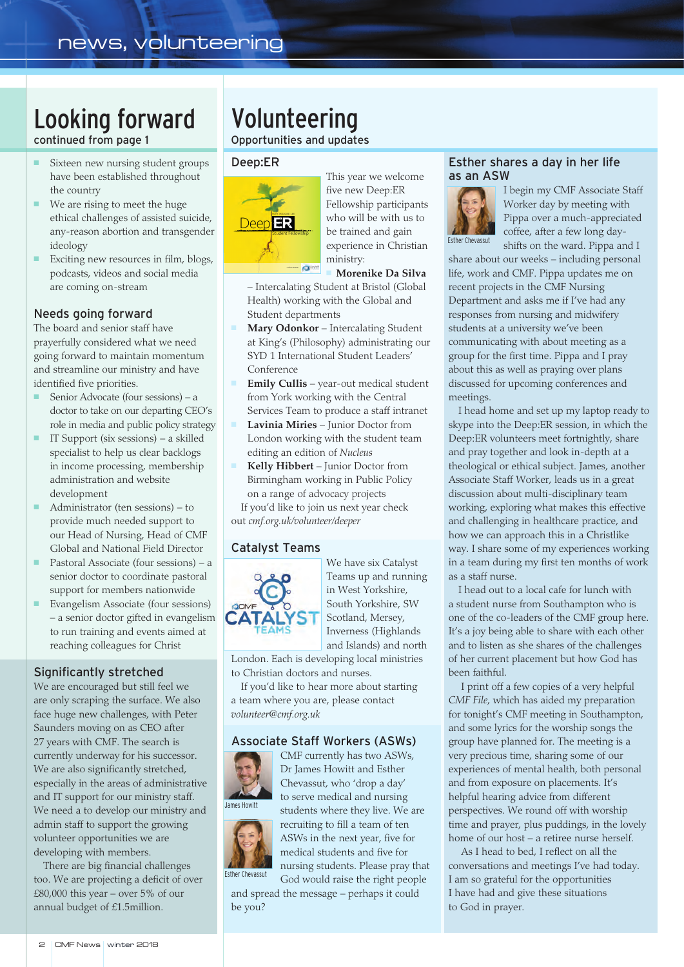# Looking forward continued from page 1

- Sixteen new nursing student groups have been established throughout the country
- We are rising to meet the huge ethical challenges of assisted suicide, any-reason abortion and transgender ideology
- **Exciting new resources in film, blogs,** podcasts, videos and social media are coming on-stream

## Needs going forward

The board and senior staff have prayerfully considered what we need going forward to maintain momentum and streamline our ministry and have identified five priorities.

- Senior Advocate (four sessions) a doctor to take on our departing CEO's role in media and public policy strategy
- $\blacksquare$  IT Support (six sessions) a skilled specialist to help us clear backlogs in income processing, membership administration and website development
- Administrator (ten sessions) to provide much needed support to our Head of Nursing, Head of CMF Global and National Field Director
- **Pastoral Associate (four sessions)** a senior doctor to coordinate pastoral support for members nationwide
- **Evangelism Associate (four sessions)** – a senior doctor gifted in evangelism to run training and events aimed at reaching colleagues for Christ

### Significantly stretched

We are encouraged but still feel we are only scraping the surface. We also face huge new challenges, with Peter Saunders moving on as CEO after 27 years with CMF. The search is currently underway for his successor. We are also significantly stretched, especially in the areas of administrative and IT support for our ministry staff. We need a to develop our ministry and admin staff to support the growing volunteer opportunities we are developing with members.

There are big financial challenges too. We are projecting a deficit of over £80,000 this year – over  $5\%$  of our annual budget of £1.5million.

# Volunteering

Opportunities and updates

#### Deep:ER



This year we welcome five new Deep:ER Fellowship participants who will be with us to be trained and gain experience in Christian ministry:

## **Morenike Da Silva**

– Intercalating Student at Bristol (Global Health) working with the Global and Student departments

- **Mary Odonkor** Intercalating Student at King's (Philosophy) administrating our SYD 1 International Student Leaders' Conference
- **Emily Cullis** year-out medical student from York working with the Central Services Team to produce a staff intranet
- **Lavinia Miries** Junior Doctor from London working with the student team editing an edition of *Nucleus*
- **Kelly Hibbert** Junior Doctor from Birmingham working in Public Policy on a range of advocacy projects

If you'd like to join us next year check out *cmf.org.uk/volunteer/deeper*

### Catalyst Teams



We have six Catalyst Teams up and running in West Yorkshire, South Yorkshire, SW Scotland, Mersey, Inverness (Highlands and Islands) and north

London. Each is developing local ministries to Christian doctors and nurses.

If you'd like to hear more about starting a team where you are, please contact *volunteer@cmf.org.uk*

### Associate Staff Workers (ASWs)

CMF currently has two ASWs, Dr James Howitt and Esther Chevassut, who 'drop a day'



to serve medical and nursing



Esther Chevassut

students where they live. We are recruiting to fill a team of ten ASWs in the next year, five for medical students and five for nursing students. Please pray that

God would raise the right people and spread the message – perhaps it could be you?

#### Esther shares a day in her life as an ASW



I begin my CMF Associate Staff Worker day by meeting with Pippa over a much-appreciated coffee, after a few long dayshifts on the ward. Pippa and I

share about our weeks – including personal life, work and CMF. Pippa updates me on recent projects in the CMF Nursing Department and asks me if I've had any responses from nursing and midwifery students at a university we've been communicating with about meeting as a group for the first time. Pippa and I pray about this as well as praying over plans discussed for upcoming conferences and meetings.

I head home and set up my laptop ready to skype into the Deep:ER session, in which the Deep:ER volunteers meet fortnightly, share and pray together and look in-depth at a theological or ethical subject. James, another Associate Staff Worker, leads us in a great discussion about multi-disciplinary team working, exploring what makes this effective and challenging in healthcare practice, and how we can approach this in a Christlike way. I share some of my experiences working in a team during my first ten months of work as a staff nurse.

I head out to a local cafe for lunch with a student nurse from Southampton who is one of the co-leaders of the CMF group here. It's a joy being able to share with each other and to listen as she shares of the challenges of her current placement but how God has been faithful.

I print off a few copies of a very helpful *CMF File*, which has aided my preparation for tonight's CMF meeting in Southampton, and some lyrics for the worship songs the group have planned for. The meeting is a very precious time, sharing some of our experiences of mental health, both personal and from exposure on placements. It's helpful hearing advice from different perspectives. We round off with worship time and prayer, plus puddings, in the lovely home of our host – a retiree nurse herself.

As I head to bed, I reflect on all the conversations and meetings I've had today. I am so grateful for the opportunities I have had and give these situations to God in prayer.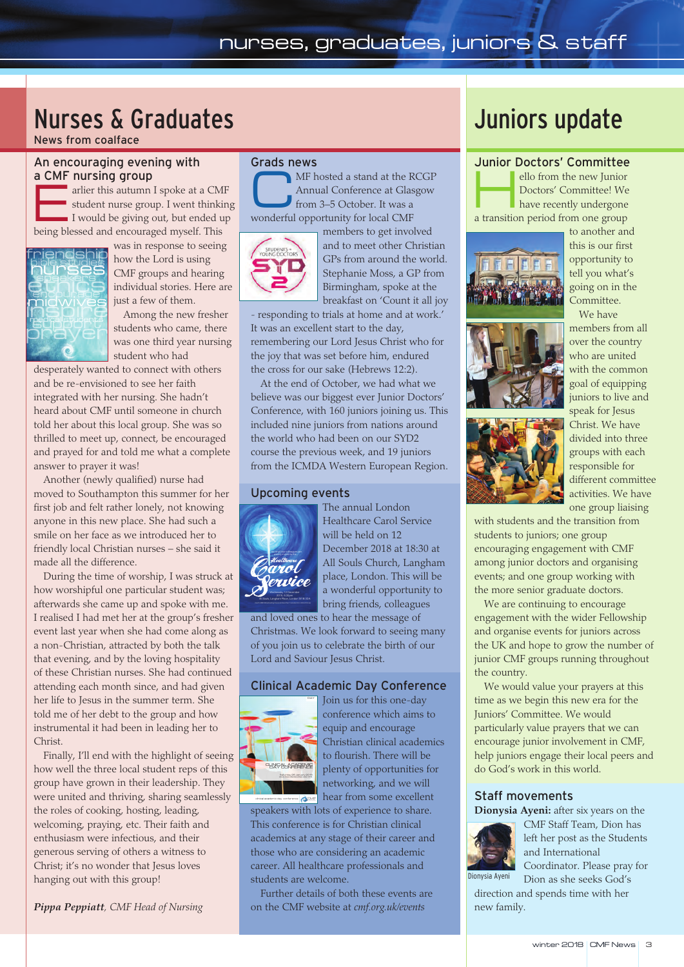# Nurses & Graduates

News from coalface

## An encouraging evening with a CMF nursing group

arlier this autumn I spoke at a CMF<br>student nurse group. I went thinkin<br>I would be giving out, but ended up student nurse group. I went thinking I would be giving out, but ended up being blessed and encouraged myself. This



was in response to seeing how the Lord is using CMF groups and hearing individual stories. Here are just a few of them.

Among the new fresher students who came, there was one third year nursing student who had

desperately wanted to connect with others and be re-envisioned to see her faith integrated with her nursing. She hadn't heard about CMF until someone in church told her about this local group. She was so thrilled to meet up, connect, be encouraged and prayed for and told me what a complete answer to prayer it was!

Another (newly qualified) nurse had moved to Southampton this summer for her first job and felt rather lonely, not knowing anyone in this new place. She had such a smile on her face as we introduced her to friendly local Christian nurses – she said it made all the difference.

During the time of worship, I was struck at how worshipful one particular student was; afterwards she came up and spoke with me. I realised I had met her at the group's fresher event last year when she had come along as a non-Christian, attracted by both the talk that evening, and by the loving hospitality of these Christian nurses. She had continued attending each month since, and had given her life to Jesus in the summer term. She told me of her debt to the group and how instrumental it had been in leading her to Christ.

Finally, I'll end with the highlight of seeing how well the three local student reps of this group have grown in their leadership. They were united and thriving, sharing seamlessly the roles of cooking, hosting, leading, welcoming, praying, etc. Their faith and enthusiasm were infectious, and their generous serving of others a witness to Christ; it's no wonder that Jesus loves hanging out with this group!

*Pippa Peppiatt, CMF Head of Nursing*

#### Grads news

MF hosted a stand at the RCGP Annual Conference at Glasgow from 3–5 October. It was a wonderful opportunity for local CMF



members to get involved and to meet other Christian GPs from around the world. Stephanie Moss, a GP from Birmingham, spoke at the breakfast on 'Count it all joy

- responding to trials at home and at work.' It was an excellent start to the day, remembering our Lord Jesus Christ who for the joy that was set before him, endured the cross for our sake (Hebrews 12:2).

At the end of October, we had what we believe was our biggest ever Junior Doctors' Conference, with 160 juniors joining us. This included nine juniors from nations around the world who had been on our SYD2 course the previous week, and 19 juniors from the ICMDA Western European Region.

#### Upcoming events



The annual London Healthcare Carol Service will be held on 12 December 2018 at 18:30 at All Souls Church, Langham place, London. This will be a wonderful opportunity to bring friends, colleagues

and loved ones to hear the message of Christmas. We look forward to seeing many of you join us to celebrate the birth of our Lord and Saviour Jesus Christ.

### Clinical Academic Day Conference



clinical academic day conference

Join us for this one-day conference which aims to equip and encourage Christian clinical academics to flourish. There will be plenty of opportunities for networking, and we will hear from some excellent

speakers with lots of experience to share. This conference is for Christian clinical academics at any stage of their career and those who are considering an academic career. All healthcare professionals and students are welcome.

Further details of both these events are on the CMF website at *cmf.org.uk/events*

# Juniors update

#### Junior Doctors' Committee

ello from the new Junior Doctors' Committee! We have recently undergone a transition period from one group



to another and this is our first opportunity to tell you what's going on in the Committee.





We have members from all over the country who are united with the common goal of equipping juniors to live and speak for Jesus Christ. We have divided into three groups with each responsible for different committee activities. We have one group liaising

with students and the transition from students to juniors; one group encouraging engagement with CMF among junior doctors and organising events; and one group working with the more senior graduate doctors.

We are continuing to encourage engagement with the wider Fellowship and organise events for juniors across the UK and hope to grow the number of junior CMF groups running throughout the country.

We would value your prayers at this time as we begin this new era for the Juniors' Committee. We would particularly value prayers that we can encourage junior involvement in CMF, help juniors engage their local peers and do God's work in this world.

## Staff movements

**Dionysia Ayeni:** after six years on the



CMF Staff Team, Dion has left her post as the Students and International Coordinator. Please pray for

Dion as she seeks God's direction and spends time with her new family.